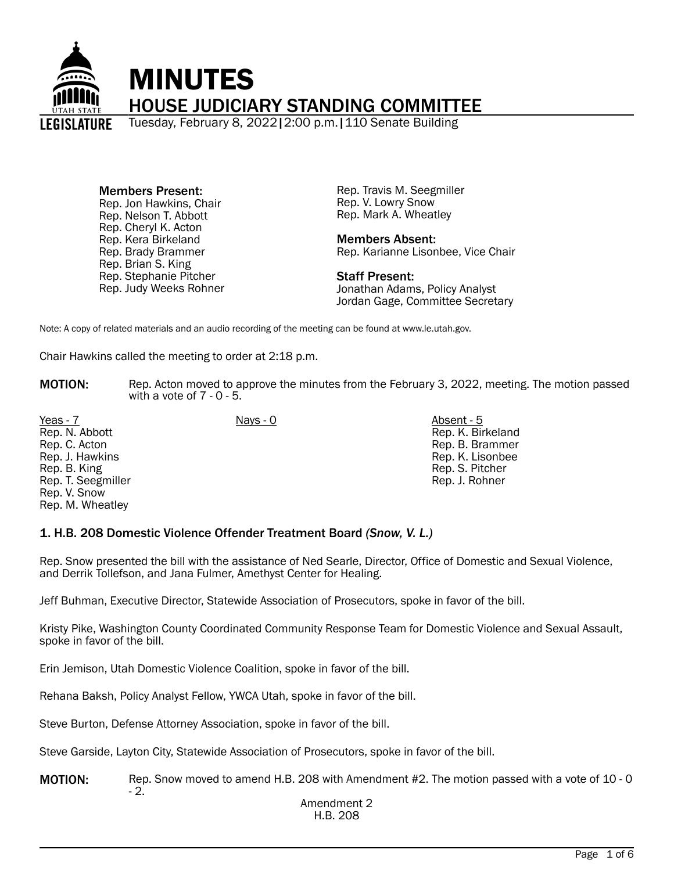

Members Present: Rep. Jon Hawkins, Chair Rep. Nelson T. Abbott Rep. Cheryl K. Acton Rep. Kera Birkeland Rep. Brady Brammer Rep. Brian S. King Rep. Stephanie Pitcher Rep. Judy Weeks Rohner Rep. Travis M. Seegmiller Rep. V. Lowry Snow Rep. Mark A. Wheatley

Members Absent: Rep. Karianne Lisonbee, Vice Chair

Staff Present: Jonathan Adams, Policy Analyst Jordan Gage, Committee Secretary

Note: A copy of related materials and an audio recording of the meeting can be found at www.le.utah.gov.

Chair Hawkins called the meeting to order at 2:18 p.m.

**MOTION:** Rep. Acton moved to approve the minutes from the February 3, 2022, meeting. The motion passed with a vote of 7 - 0 - 5.

Yeas - 7 Nays - 0 Absent - 5 Rep. N. Abbott Rep. C. Acton Rep. J. Hawkins Rep. B. King Rep. T. Seegmiller Rep. V. Snow Rep. M. Wheatley

Rep. K. Birkeland Rep. B. Brammer Rep. K. Lisonbee Rep. S. Pitcher Rep. J. Rohner

#### 1. H.B. 208 Domestic Violence Offender Treatment Board *(Snow, V. L.)*

Rep. Snow presented the bill with the assistance of Ned Searle, Director, Office of Domestic and Sexual Violence, and Derrik Tollefson, and Jana Fulmer, Amethyst Center for Healing.

Jeff Buhman, Executive Director, Statewide Association of Prosecutors, spoke in favor of the bill.

Kristy Pike, Washington County Coordinated Community Response Team for Domestic Violence and Sexual Assault, spoke in favor of the bill.

Erin Jemison, Utah Domestic Violence Coalition, spoke in favor of the bill.

Rehana Baksh, Policy Analyst Fellow, YWCA Utah, spoke in favor of the bill.

Steve Burton, Defense Attorney Association, spoke in favor of the bill.

Steve Garside, Layton City, Statewide Association of Prosecutors, spoke in favor of the bill.

MOTION: Rep. Snow moved to amend H.B. 208 with Amendment #2. The motion passed with a vote of 10 - 0 - 2.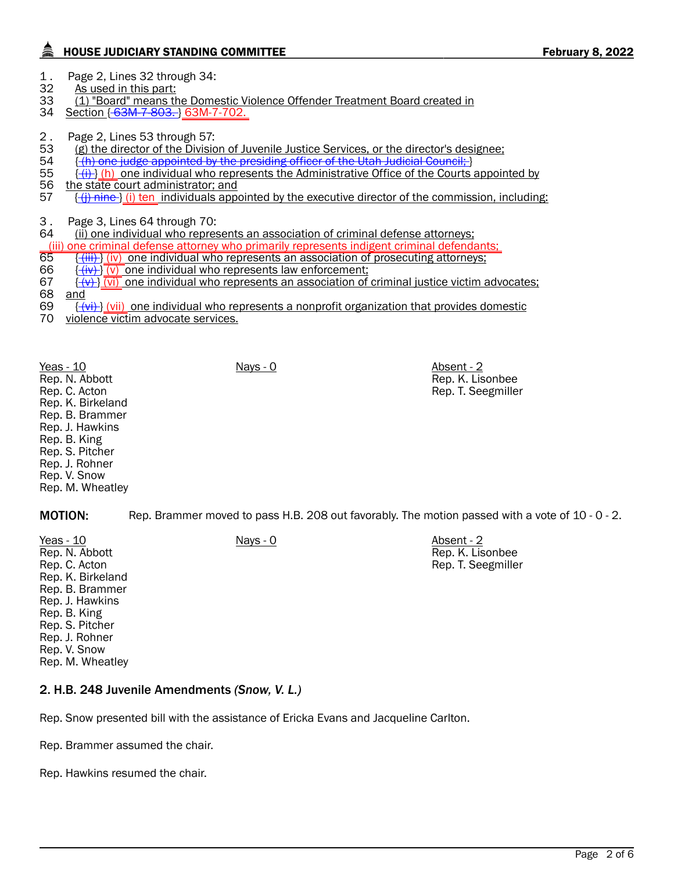## HOUSE JUDICIARY STANDING COMMITTEE **February 8, 2022**

1. Page 2, Lines 32 through 34:<br>32 As used in this part:

- As used in this part:
- 33 (1) "Board" means the Domestic Violence Offender Treatment Board created in<br>34 Section {-63M-7-803, } 63M-7-702.
- Section { 63M-7-803. } 63M-7-702.
- 2. Page 2, Lines 53 through 57:<br>53 (g) the director of the Divisic
- 53 (g) the director of the Division of Juvenile Justice Services, or the director's designee;<br>54 (<del>(h) one judge appointed by the presiding officer of the Utah Judicial Council: [1]</del>
- $\{\hat{}$  (h) one judge appointed by the presiding officer of the Utah Judicial Council; }
- 55  $\{\frac{(i)}{2}\}$  (h) one individual who represents the Administrative Office of the Courts appointed by 56 the state court administrator: and
- 56 the state court administrator; and<br>57 <del>(i) nine )</del> (i) ten individuals appo  $\{\{\}$  i) ten individuals appointed by the executive director of the commission, including:

3. Page 3, Lines 64 through 70:<br>64 (ii) one individual who repres

(ii) one individual who represents an association of criminal defense attorneys;

- (iii) one criminal defense attorney who primarily represents indigent criminal defendants;<br>65 ((iii) (iv) one individual who represents an association of prosecuting attorneys;
- 65  $\frac{f\{iii\}}{(v)}$  one individual who represents an association of prosecuting attorneys;<br>66  $\frac{f\{iv\}}{(v)}$  one individual who represents law enforcement:
- $\{\overline{(iv)}\}\$  (v) one individual who represents law enforcement;
- $\frac{1}{2}$   $\frac{1}{2}$   $\frac{1}{2}$  one individual who represents an association of criminal justice victim advocates;<br>68 and
- 68 <u>and</u><br>69 <del>{ (</del>
- $\{\overline{(v_i)}\}$  (vii) one individual who represents a nonprofit organization that provides domestic
- 70 violence victim advocate services.

Yeas - 10 Nays - 0 Absent - 2 Rep. N. Abbott Rep. C. Acton Rep. K. Birkeland Rep. B. Brammer Rep. J. Hawkins Rep. B. King Rep. S. Pitcher Rep. J. Rohner Rep. V. Snow Rep. M. Wheatley

Rep. K. Lisonbee Rep. T. Seegmiller

MOTION: Rep. Brammer moved to pass H.B. 208 out favorably. The motion passed with a vote of 10 - 0 - 2.

Yeas - 10 Nays - 0 Absent - 2 Rep. N. Abbott Rep. C. Acton Rep. K. Birkeland Rep. B. Brammer Rep. J. Hawkins Rep. B. King Rep. S. Pitcher Rep. J. Rohner Rep. V. Snow Rep. M. Wheatley

Rep. K. Lisonbee Rep. T. Seegmiller

## 2. H.B. 248 Juvenile Amendments *(Snow, V. L.)*

Rep. Snow presented bill with the assistance of Ericka Evans and Jacqueline Carlton.

Rep. Brammer assumed the chair.

Rep. Hawkins resumed the chair.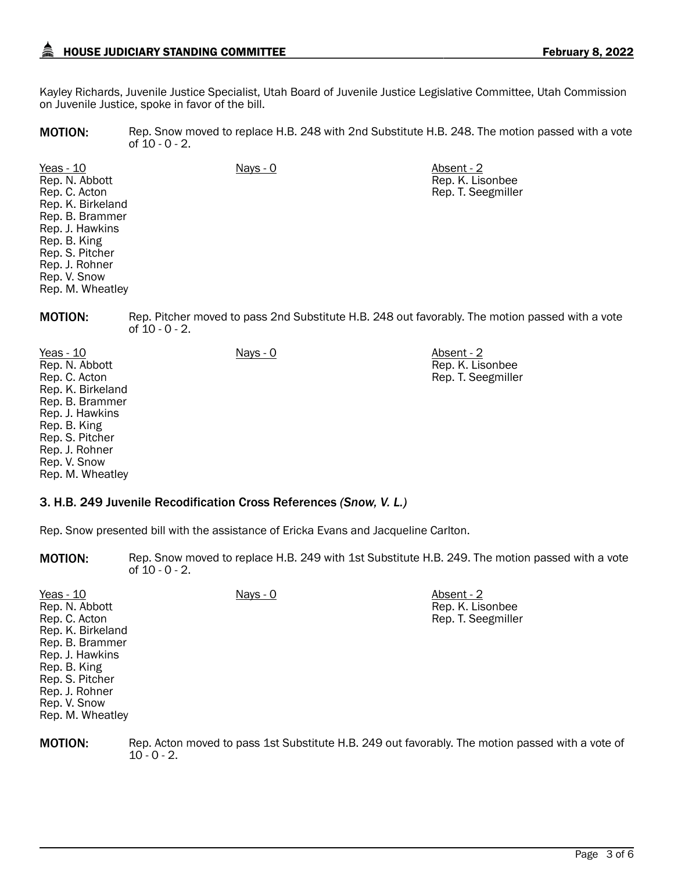# HOUSE JUDICIARY STANDING COMMITTEE **February 8, 2022**

Rep. K. Lisonbee Rep. T. Seegmiller

Kayley Richards, Juvenile Justice Specialist, Utah Board of Juvenile Justice Legislative Committee, Utah Commission on Juvenile Justice, spoke in favor of the bill.

MOTION: Rep. Snow moved to replace H.B. 248 with 2nd Substitute H.B. 248. The motion passed with a vote of 10 - 0 - 2.

Yeas - 10 Nays - 0 Absent - 2 Rep. N. Abbott Rep. C. Acton Rep. K. Birkeland Rep. B. Brammer Rep. J. Hawkins Rep. B. King Rep. S. Pitcher Rep. J. Rohner Rep. V. Snow Rep. M. Wheatley

**MOTION:** Rep. Pitcher moved to pass 2nd Substitute H.B. 248 out favorably. The motion passed with a vote of 10 - 0 - 2.

Yeas - 10 Nays - 0 Absent - 2 Rep. N. Abbott Rep. C. Acton Rep. K. Birkeland Rep. B. Brammer Rep. J. Hawkins Rep. B. King Rep. S. Pitcher Rep. J. Rohner Rep. V. Snow Rep. M. Wheatley Rep. K. Lisonbee Rep. T. Seegmiller

#### 3. H.B. 249 Juvenile Recodification Cross References *(Snow, V. L.)*

Rep. Snow presented bill with the assistance of Ericka Evans and Jacqueline Carlton.

**MOTION:** Rep. Snow moved to replace H.B. 249 with 1st Substitute H.B. 249. The motion passed with a vote of  $10 - 0 - 2$ .

| Yeas - 10<br>Rep. N. Abbott<br>Rep. C. Acton<br>Rep. K. Birkeland<br>Rep. B. Brammer<br>Rep. J. Hawkins<br>Rep. B. King | <u>Nays - 0</u> | Absent - 2<br>Rep. K. Lisonbee<br>Rep. T. Seegmiller |
|-------------------------------------------------------------------------------------------------------------------------|-----------------|------------------------------------------------------|
| Rep. S. Pitcher<br>Rep. J. Rohner<br>Rep. V. Snow<br>Rep. M. Wheatley                                                   |                 |                                                      |

**MOTION:** Rep. Acton moved to pass 1st Substitute H.B. 249 out favorably. The motion passed with a vote of  $10 - 0 - 2$ .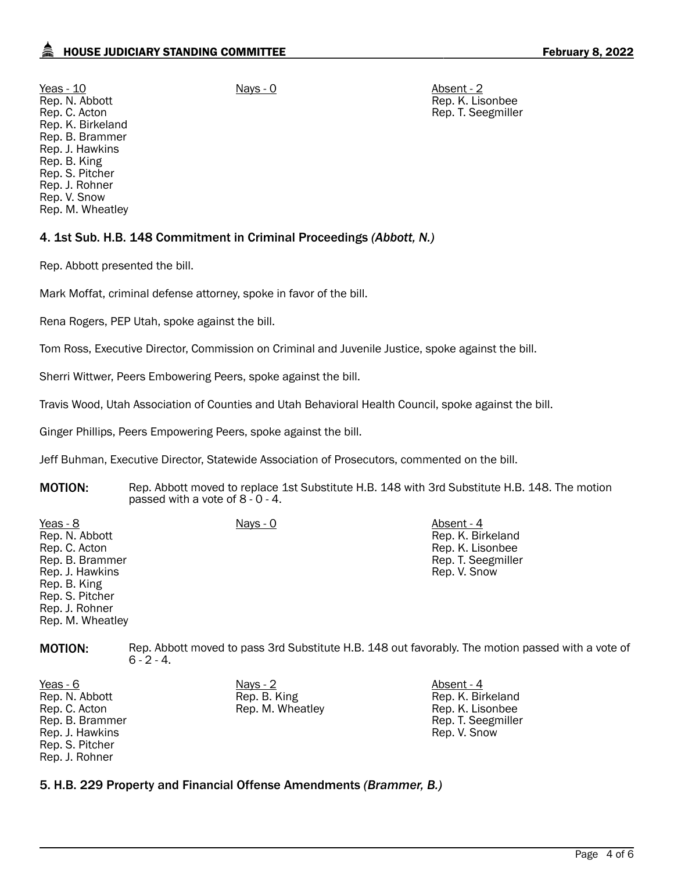Yeas - 10 Nays - 0 Absent - 2 Rep. N. Abbott Rep. C. Acton Rep. K. Birkeland Rep. B. Brammer Rep. J. Hawkins Rep. B. King Rep. S. Pitcher Rep. J. Rohner Rep. V. Snow Rep. M. Wheatley

Rep. K. Lisonbee Rep. T. Seegmiller

## 4. 1st Sub. H.B. 148 Commitment in Criminal Proceedings *(Abbott, N.)*

Rep. Abbott presented the bill.

Mark Moffat, criminal defense attorney, spoke in favor of the bill.

Rena Rogers, PEP Utah, spoke against the bill.

Tom Ross, Executive Director, Commission on Criminal and Juvenile Justice, spoke against the bill.

Sherri Wittwer, Peers Embowering Peers, spoke against the bill.

Travis Wood, Utah Association of Counties and Utah Behavioral Health Council, spoke against the bill.

Ginger Phillips, Peers Empowering Peers, spoke against the bill.

Jeff Buhman, Executive Director, Statewide Association of Prosecutors, commented on the bill.

MOTION: Rep. Abbott moved to replace 1st Substitute H.B. 148 with 3rd Substitute H.B. 148. The motion passed with a vote of 8 - 0 - 4.

| Yeas - 8         | Nays - 0 | Absent - 4         |
|------------------|----------|--------------------|
| Rep. N. Abbott   |          | Rep. K. Birkeland  |
| Rep. C. Acton    |          | Rep. K. Lisonbee   |
| Rep. B. Brammer  |          | Rep. T. Seegmiller |
| Rep. J. Hawkins  |          | Rep. V. Snow       |
| Rep. B. King     |          |                    |
| Rep. S. Pitcher  |          |                    |
| Rep. J. Rohner   |          |                    |
| Rep. M. Wheatley |          |                    |

MOTION: Rep. Abbott moved to pass 3rd Substitute H.B. 148 out favorably. The motion passed with a vote of  $6 - 2 - 4$ .

Yeas - 6 Nays - 2 Nays - 2 Absent - 4 Rep. N. Abbott Rep. C. Acton Rep. B. Brammer Rep. J. Hawkins Rep. S. Pitcher Rep. J. Rohner

Rep. B. King Rep. M. Wheatley Rep. K. Birkeland Rep. K. Lisonbee Rep. T. Seegmiller Rep. V. Snow

5. H.B. 229 Property and Financial Offense Amendments *(Brammer, B.)*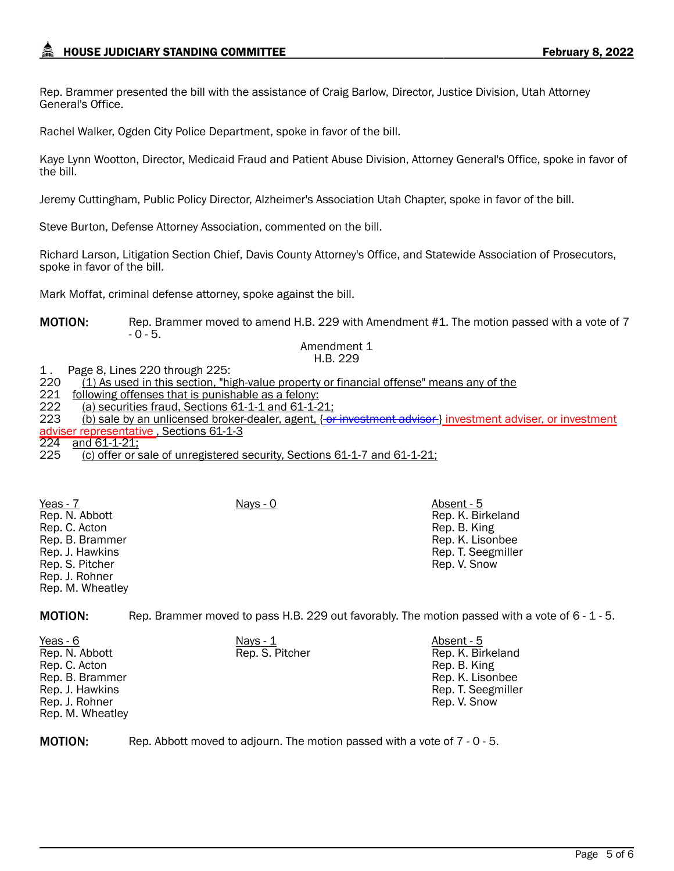Rep. Brammer presented the bill with the assistance of Craig Barlow, Director, Justice Division, Utah Attorney General's Office.

Rachel Walker, Ogden City Police Department, spoke in favor of the bill.

Kaye Lynn Wootton, Director, Medicaid Fraud and Patient Abuse Division, Attorney General's Office, spoke in favor of the bill.

Jeremy Cuttingham, Public Policy Director, Alzheimer's Association Utah Chapter, spoke in favor of the bill.

Steve Burton, Defense Attorney Association, commented on the bill.

Richard Larson, Litigation Section Chief, Davis County Attorney's Office, and Statewide Association of Prosecutors, spoke in favor of the bill.

Mark Moffat, criminal defense attorney, spoke against the bill.

MOTION: Rep. Brammer moved to amend H.B. 229 with Amendment #1. The motion passed with a vote of 7  $-0 - 5.$ 

Amendment 1 H.B. 229

1 . Page 8, Lines 220 through 225:

220 (1) As used in this section, "high-value property or financial offense" means any of the 221 following offenses that is punishable as a felony:

221 following offenses that is punishable as a felony:<br>222 – (a) securities fraud. Sections 61-1-1 and 61-1-2

222 (a) securities fraud, Sections 61-1-1 and 61-1-21;<br>223 (b) sale by an unlicensed broker-dealer, agent,  $\{-\alpha\}$ 

(b) sale by an unlicensed broker-dealer, agent, { or investment advisor } investment adviser, or investment <u>adviser representative ,</u> Sections 61-1-3<br>224 and 61-1-21:

and  $61-1-21$ ;

225 (c) offer or sale of unregistered security, Sections 61-1-7 and 61-1-21;

Yeas - 7 Nays - 0 Absent - 5 Rep. N. Abbott Rep. C. Acton Rep. B. Brammer Rep. J. Hawkins Rep. S. Pitcher Rep. J. Rohner Rep. M. Wheatley

MOTION: Rep. Brammer moved to pass H.B. 229 out favorably. The motion passed with a vote of 6 - 1 - 5.

Rep. K. Birkeland Rep. B. King Rep. K. Lisonbee Rep. T. Seegmiller Rep. V. Snow

| Yeas - 6         | Nays $-1$       | Absent - 5         |
|------------------|-----------------|--------------------|
| Rep. N. Abbott   | Rep. S. Pitcher | Rep. K. Birkeland  |
| Rep. C. Acton    |                 | Rep. B. King       |
| Rep. B. Brammer  |                 | Rep. K. Lisonbee   |
| Rep. J. Hawkins  |                 | Rep. T. Seegmiller |
| Rep. J. Rohner   |                 | Rep. V. Snow       |
| Rep. M. Wheatley |                 |                    |

MOTION: Rep. Abbott moved to adjourn. The motion passed with a vote of 7 - 0 - 5.